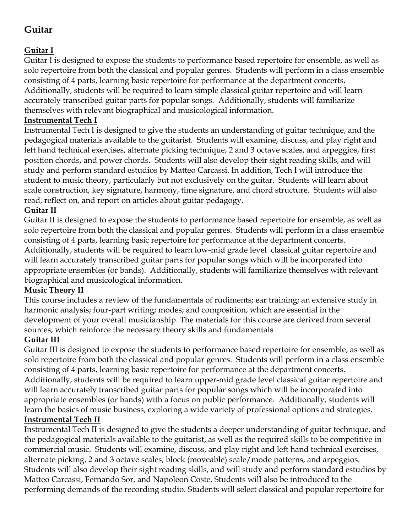# **Guitar**

## **Guitar I**

Guitar I is designed to expose the students to performance based repertoire for ensemble, as well as solo repertoire from both the classical and popular genres. Students will perform in a class ensemble consisting of 4 parts, learning basic repertoire for performance at the department concerts. Additionally, students will be required to learn simple classical guitar repertoire and will learn accurately transcribed guitar parts for popular songs. Additionally, students will familiarize themselves with relevant biographical and musicological information.

### **Instrumental Tech I**

Instrumental Tech I is designed to give the students an understanding of guitar technique, and the pedagogical materials available to the guitarist. Students will examine, discuss, and play right and left hand technical exercises, alternate picking technique, 2 and 3 octave scales, and arpeggios, first position chords, and power chords. Students will also develop their sight reading skills, and will study and perform standard estudios by Matteo Carcassi. In addition, Tech I will introduce the student to music theory, particularly but not exclusively on the guitar. Students will learn about scale construction, key signature, harmony, time signature, and chord structure. Students will also read, reflect on, and report on articles about guitar pedagogy.

#### **Guitar II**

Guitar II is designed to expose the students to performance based repertoire for ensemble, as well as solo repertoire from both the classical and popular genres. Students will perform in a class ensemble consisting of 4 parts, learning basic repertoire for performance at the department concerts. Additionally, students will be required to learn low-mid grade level classical guitar repertoire and will learn accurately transcribed guitar parts for popular songs which will be incorporated into appropriate ensembles (or bands). Additionally, students will familiarize themselves with relevant biographical and musicological information.

#### **Music Theory II**

This course includes a review of the fundamentals of rudiments; ear training; an extensive study in harmonic analysis; four-part writing; modes; and composition, which are essential in the development of your overall musicianship. The materials for this course are derived from several sources, which reinforce the necessary theory skills and fundamentals

#### **Guitar III**

Guitar III is designed to expose the students to performance based repertoire for ensemble, as well as solo repertoire from both the classical and popular genres. Students will perform in a class ensemble consisting of 4 parts, learning basic repertoire for performance at the department concerts. Additionally, students will be required to learn upper-mid grade level classical guitar repertoire and will learn accurately transcribed guitar parts for popular songs which will be incorporated into appropriate ensembles (or bands) with a focus on public performance. Additionally, students will learn the basics of music business, exploring a wide variety of professional options and strategies. **Instrumental Tech II**

Instrumental Tech II is designed to give the students a deeper understanding of guitar technique, and the pedagogical materials available to the guitarist, as well as the required skills to be competitive in commercial music. Students will examine, discuss, and play right and left hand technical exercises, alternate picking, 2 and 3 octave scales, block (moveable) scale/mode patterns, and arpeggios. Students will also develop their sight reading skills, and will study and perform standard estudios by Matteo Carcassi, Fernando Sor, and Napoleon Coste. Students will also be introduced to the performing demands of the recording studio. Students will select classical and popular repertoire for